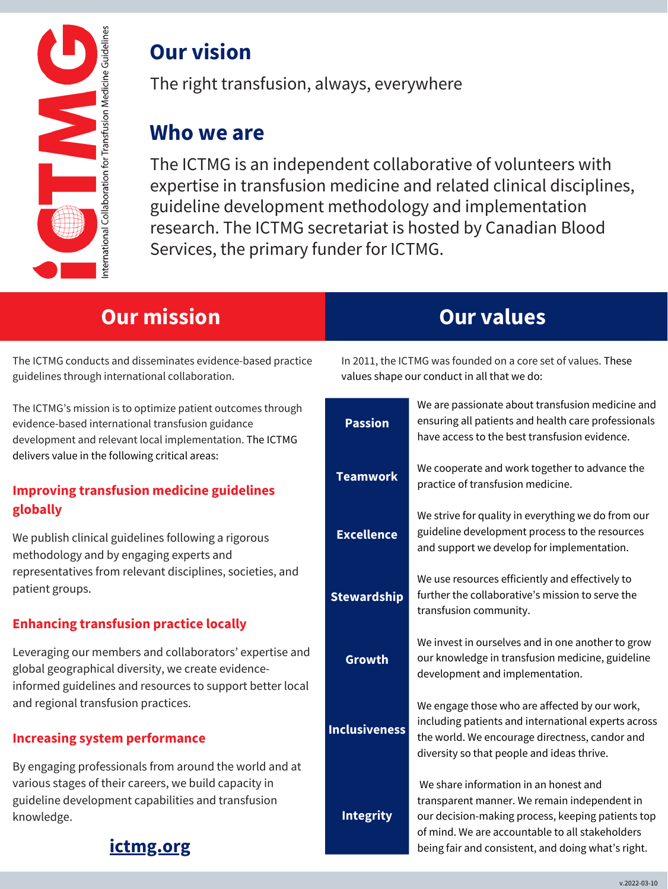

# **Our vision**

The right transfusion, always, everywhere

# **Who we are**

The ICTMG is an independent collaborative of volunteers with expertise in transfusion medicine and related clinical disciplines, guideline development methodology and implementation research. The ICTMG secretariat is hosted by Canadian Blood Services, the primary funder for ICTMG.

### **[ictmg.org](https://www.ictmg.org/)**

# **Our mission**

The ICTMG conducts and disseminates evidence-based practice guidelines through international collaboration.

We publish clinical guidelines following a rigorous methodology and by engaging experts and representatives from relevant disciplines, societies, and patient groups.

The ICTMG's mission is to optimize patient outcomes through evidence-based international transfusion guidance development and relevant local implementation. The ICTMG delivers value in the following critical areas:

#### **Improving transfusion medicine guidelines globally**

#### **Enhancing transfusion practice locally**

Leveraging our members and collaborators' expertise and global geographical diversity, we create evidenceinformed guidelines and resources to support better local and regional transfusion practices.

#### **Increasing system performance**

By engaging professionals from around the world and at various stages of their careers, we build capacity in guideline development capabilities and transfusion knowledge.

# **Our values**

In 2011, the ICTMG was founded on a core set of values. These values shape our conduct in all that we do:

> We are passionate about transfusion medicine and ensuring all patients and health care professionals have access to the best transfusion evidence.

| <b>Teamwork</b>      | We cooperate and work together to advance the<br>practice of transfusion medicine.                                                                                                                                                                  |
|----------------------|-----------------------------------------------------------------------------------------------------------------------------------------------------------------------------------------------------------------------------------------------------|
| <b>Excellence</b>    | We strive for quality in everything we do from our<br>guideline development process to the resources<br>and support we develop for implementation.                                                                                                  |
| <b>Stewardship</b>   | We use resources efficiently and effectively to<br>further the collaborative's mission to serve the<br>transfusion community.                                                                                                                       |
| Growth               | We invest in ourselves and in one another to grow<br>our knowledge in transfusion medicine, guideline<br>development and implementation.                                                                                                            |
| <b>Inclusiveness</b> | We engage those who are affected by our work,<br>including patients and international experts across<br>the world. We encourage directness, candor and<br>diversity so that people and ideas thrive.                                                |
| <b>Integrity</b>     | We share information in an honest and<br>transparent manner. We remain independent in<br>our decision-making process, keeping patients top<br>of mind. We are accountable to all stakeholders<br>being fair and consistent, and doing what's right. |

**Passion**